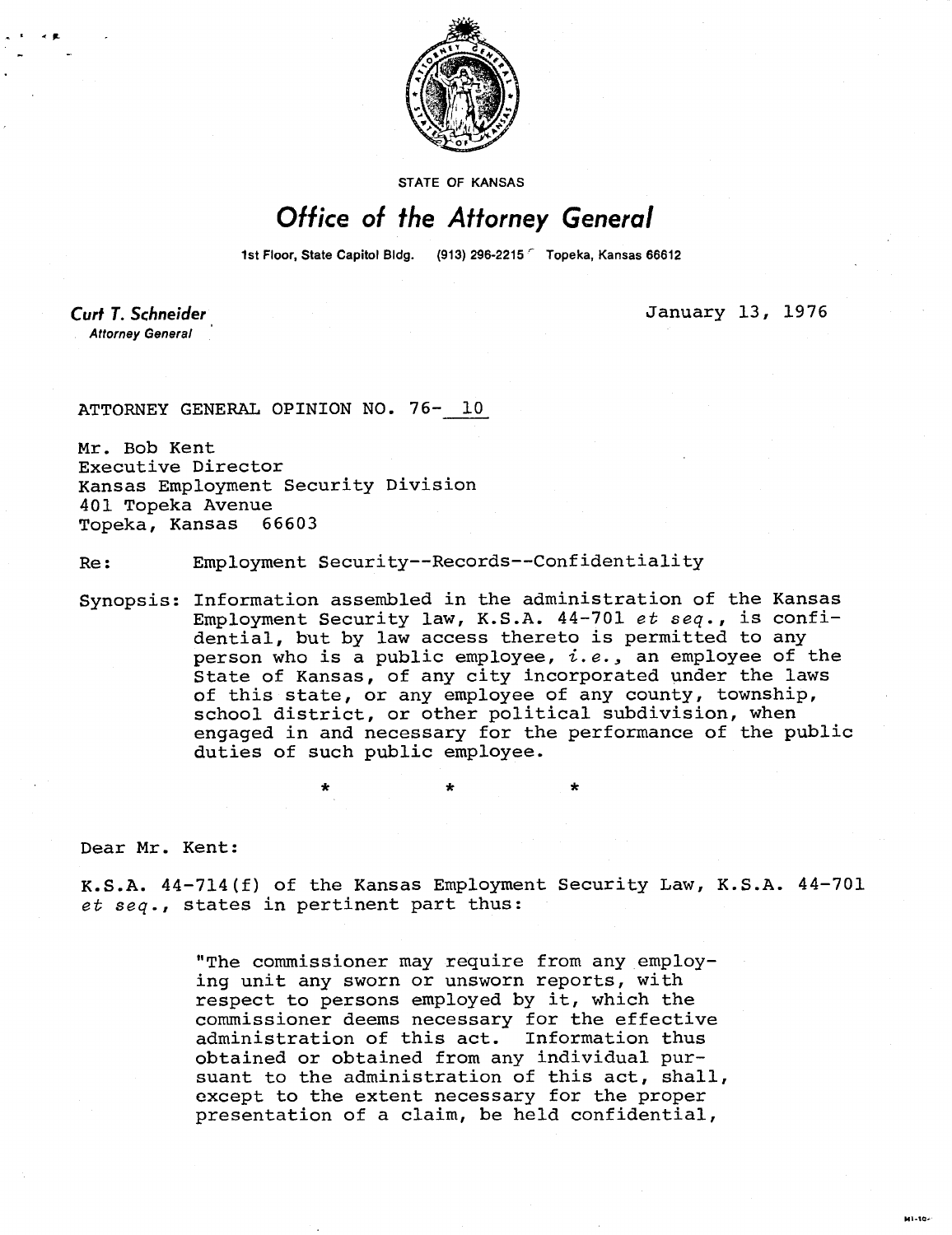

**STATE OF KANSAS** 

## Office of the Attorney General

1st Floor, State Capitol Bldg. (913) 296-2215 Topeka, Kansas 66612

Curt T. Schneider **Attorney General** 

January 13, 1976

**MALSON** 

ATTORNEY GENERAL OPINION NO. 76- 10

Mr. Bob Kent Executive Director Kansas Employment Security Division 401 Topeka Avenue<br>Topeka, Kansas 66603 Topeka, Kansas

Re: Employment Security--Records--Confidentiality

\*

Synopsis: Information assembled in the administration of the Kansas Employment Security law, K.S.A. 44-701 et seq., is confidential, but by law access thereto is permitted to any person who is a public employee,  $i.e.,$  an employee of the State of Kansas, of any city incorporated under the laws of this state, or any employee of any county, township, school district, or other political subdivision, when engaged in and necessary for the performance of the public duties of such public employee.

Dear Mr. Kent:

K.S.A. 44-714(f) of the Kansas Employment Security Law, K.S.A. 44-701 et seq., states in pertinent part thus:

> "The commissioner may require from any employing unit any sworn or unsworn reports, with respect to persons employed by it, which the commissioner deems necessary for the effective administration of this act. Information thus obtained or obtained from any individual pursuant to the administration of this act, shall, except to the extent necessary for the proper presentation of a claim, be held confidential,